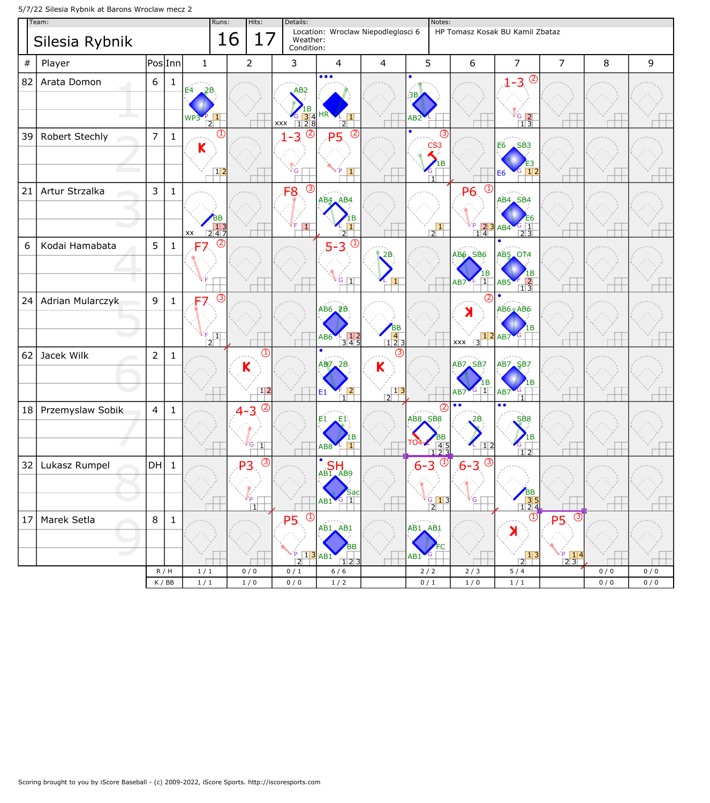5/7/22 Silesia Rybnik at Barons Wroclaw mecz 2

| Team:   |                  |                |              | Hits:<br>Runs:                                                      |    | Details:                                            |                                                                                                                     |                                                                                        |                                                                    | Notes:<br>HP Tomasz Kosak BU Kamil Zbataz    |                                                 |                                                             |                                                                  |     |     |
|---------|------------------|----------------|--------------|---------------------------------------------------------------------|----|-----------------------------------------------------|---------------------------------------------------------------------------------------------------------------------|----------------------------------------------------------------------------------------|--------------------------------------------------------------------|----------------------------------------------|-------------------------------------------------|-------------------------------------------------------------|------------------------------------------------------------------|-----|-----|
|         | Silesia Rybnik   |                |              |                                                                     | 16 | 17                                                  | Weather:<br>Condition:                                                                                              | Location: Wroclaw Niepodleglosci 6                                                     |                                                                    |                                              |                                                 |                                                             |                                                                  |     |     |
| $_{\#}$ | Player           | PoslInn        |              | $\mathbf{1}$                                                        |    | $\overline{2}$                                      | 3                                                                                                                   | 4                                                                                      | 4                                                                  | 5                                            | 6                                               | $\overline{7}$                                              | $\overline{7}$                                                   | 8   | 9   |
| 82      | Arata Domon      | $6\,$          | $\mathbf{1}$ | Ε4                                                                  |    |                                                     | AB <sub>2</sub><br>$\begin{array}{ c c c }\n \hline\n 6 & 3 & 4 \\  \hline\n 1 & 2 & 8\n \end{array}$<br><b>XXX</b> | $\bullet\bullet\bullet$<br>$\overline{2}$                                              |                                                                    |                                              |                                                 | $^{\circledR}$<br>$1 - 3$<br>$rac{G}{1}$ $rac{2}{3}$        |                                                                  |     |     |
| 39      | Robert Stechly   | $\overline{7}$ | $\mathbf{1}$ | Κ<br>$\begin{array}{ c c c }\n\hline\n1 & 2 \\ \hline\n\end{array}$ |    |                                                     | $^{\circledR}$<br>$1 - 3$                                                                                           | $^{\circledR}$<br><b>P5</b>                                                            |                                                                    | $\overline{1}$                               | (3)                                             | SB <sub>3</sub><br>Е6<br>$\blacksquare$                     |                                                                  |     |     |
| 21      | Artur Strzalka   | 3              | $\mathbf{1}$ | $\boxed{2\overline{4}}$<br>XX                                       |    |                                                     | $\circledS$<br>F <sub>8</sub><br>$\vert \mathbf{1} \vert$                                                           | AB4 AB4                                                                                |                                                                    | $\begin{array}{c} 1 \\ 2 \end{array}$        | Œ<br><b>P6</b><br>$\frac{123}{14}$              | AB4 SB4<br>AB4<br>23                                        |                                                                  |     |     |
| 6       | Kodai Hamabata   | 5              | $\mathbf{1}$ | (Z<br><b>F7</b>                                                     |    |                                                     |                                                                                                                     | Œ<br>$5 - 3$<br>$G$ $\boxed{1}$                                                        | 2B                                                                 |                                              | <b>AB6</b> SB6<br>$\vert$ 1 $\vert$<br>AB7      | <b>AB5 OT4</b><br>$\frac{1}{1}$<br>AB5                      |                                                                  |     |     |
| 24      | Adrian Mularczyk | 9              | $\mathbf{1}$ | (3)<br>F7<br>$\boxed{1}$<br>$\overline{2}$                          |    |                                                     |                                                                                                                     | $AB6$ <sub>-2</sub> B<br>$\begin{array}{c} 2 \overline{)12} \\ 345 \end{array}$<br>4B6 | $\begin{array}{ c c c }\n\hline\n4 & 2 & 3 \\ \hline\n\end{array}$ |                                              | $\frac{1}{3}$<br><b>XXX</b>                     | AB6 AB6<br>AB7<br>$\overline{G}$                            |                                                                  |     |     |
| 62      | Jacek Wilk       | $\overline{2}$ | $\mathbf{1}$ |                                                                     |    | ⋔<br>Κ<br>$\sqrt{12}$                               |                                                                                                                     | AB7_2B<br>$F$ 2<br>E1<br>$\overline{1}\overline{1}$                                    | Κ<br>$\begin{array}{c c} & 13 \\ \hline \end{array}$               |                                              | AB7 <sub>A</sub> SB7<br>  1 <br>AB7             | <b>AB7.SB7</b><br>AB7                                       |                                                                  |     |     |
| 18      | Przemyslaw Sobik | $\overline{4}$ | $\mathbf{1}$ |                                                                     |    | $\circledcirc$<br>$4 - 3$<br>$G$ $ 1 $              |                                                                                                                     | E1<br>.E1:                                                                             |                                                                    | AB8 SB8                                      | (2<br>2В<br>$\frac{4}{2}$ $\frac{5}{3}$<br> 1 2 | $\bullet$<br>SB8<br>$\overline{1}$ 2                        |                                                                  |     |     |
| 32      | Lukasz Rumpel    | DH             | $\mathbf{1}$ |                                                                     |    | $\circled{3}$<br><b>P3</b><br>ľР.<br>$\overline{1}$ |                                                                                                                     | SH<br>$AB1$ $AB9$<br>sac<br>$G$ $\boxed{1}$<br>AB1                                     |                                                                    | $-6 - 3$ <sup>(1)</sup><br>$\frac{6}{2}$ 1 3 | $\circled{3}$<br>$6 - 3$<br>∙ G                 | BB<br>35<br>124                                             |                                                                  |     |     |
| 17      | Marek Setla<br>m | 8              | $\mathbf{1}$ |                                                                     |    |                                                     | $\bigcirc$<br><b>P5</b><br>2                                                                                        | AB1 AB1<br>BB<br>$13$ AB1<br>123                                                       |                                                                    | AB1 AB1<br>C<br>AB:                          |                                                 | $^\circledR$<br>X<br>$\begin{array}{c} 13 \\ 2 \end{array}$ | $\circledS$<br><b>P5.</b><br>ίP.<br>$\frac{P}{2}$ $\frac{14}{3}$ |     |     |
|         |                  |                | R/H          | 1/1                                                                 |    | 0/0                                                 | 0/1                                                                                                                 | 6/6                                                                                    |                                                                    | 2/2                                          | $2/3$                                           | 5/4                                                         |                                                                  | 0/0 | 0/0 |
|         |                  | K / BB         |              | $1/1$                                                               |    | $1/0$                                               | $0/0$                                                                                                               | $1/2$                                                                                  |                                                                    | 0/1                                          | 1/0                                             | $1\ / \ 1$                                                  |                                                                  | 0/0 | 0/0 |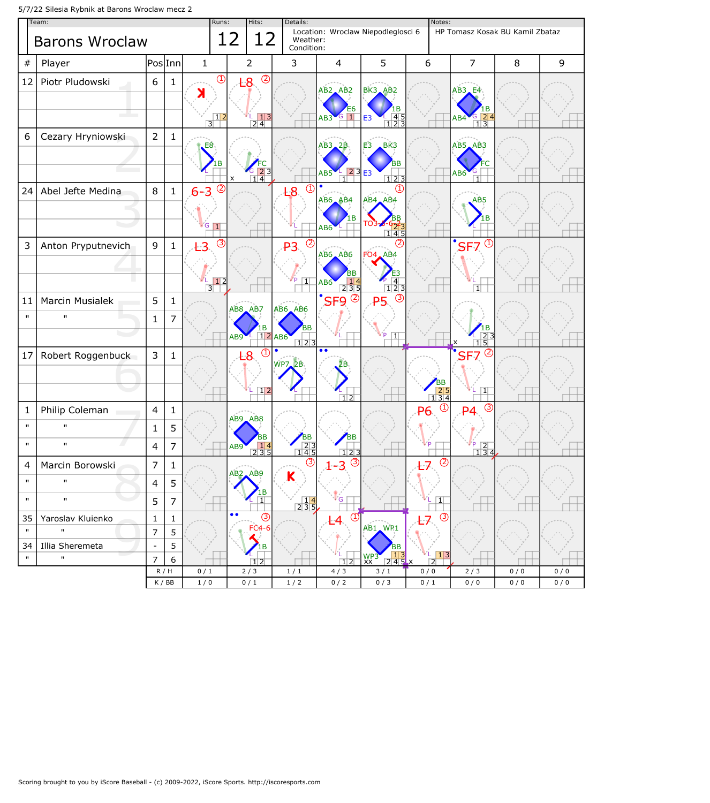5/7/22 Silesia Rybnik at Barons Wroclaw mecz 2

| Team:              |                                   |                                |                |                                        | Hits:<br>Runs: |                  |                                                | Details:                                                     |                                                                |                                                                           |                                                                  | Notes:                                                   |                                                                     |            |            |  |
|--------------------|-----------------------------------|--------------------------------|----------------|----------------------------------------|----------------|------------------|------------------------------------------------|--------------------------------------------------------------|----------------------------------------------------------------|---------------------------------------------------------------------------|------------------------------------------------------------------|----------------------------------------------------------|---------------------------------------------------------------------|------------|------------|--|
|                    | <b>Barons Wroclaw</b>             |                                |                |                                        |                | 12               | 12                                             | Location: Wroclaw Niepodleglosci 6<br>Weather:<br>Condition: |                                                                |                                                                           |                                                                  |                                                          | HP Tomasz Kosak BU Kamil Zbataz                                     |            |            |  |
| #                  | Player                            | PoslInn                        |                | $\mathbf{1}$                           |                |                  | $\overline{2}$                                 | 3                                                            |                                                                | $\overline{4}$                                                            | 5                                                                | 6                                                        | $\overline{7}$                                                      | 8          | 9          |  |
| 12                 | Piotr Pludowski                   | 6                              | $\mathbf{1}$   |                                        | $\circled{1}$  |                  | $\circledcirc$<br>-8                           |                                                              |                                                                |                                                                           |                                                                  |                                                          |                                                                     |            |            |  |
|                    |                                   |                                |                | К                                      |                |                  |                                                |                                                              |                                                                | AB <sub>2</sub> AB <sub>2</sub>                                           | BK3_AB2                                                          |                                                          | $AB3$ <sub>-E4</sub>                                                |            |            |  |
|                    |                                   |                                |                |                                        | $\frac{12}{3}$ |                  | $\frac{1}{2}$ $\frac{1}{4}$ 3                  |                                                              |                                                                | $\overline{1}$<br>AB3                                                     | .в<br>$\begin{array}{c} 45 \\ 123 \end{array}$<br>E <sub>3</sub> |                                                          | AB4                                                                 |            |            |  |
| 6                  | Cezary Hryniowski                 | $\overline{2}$                 | $\mathbf{1}$   |                                        |                |                  |                                                |                                                              |                                                                |                                                                           |                                                                  |                                                          | 13                                                                  |            |            |  |
|                    |                                   |                                |                | E8                                     |                |                  |                                                |                                                              |                                                                | AB3,2B                                                                    | BK3<br>E3                                                        |                                                          | AB5 AB3                                                             |            |            |  |
|                    |                                   |                                |                |                                        |                |                  |                                                |                                                              |                                                                | AB5                                                                       | BB<br>23E                                                        |                                                          | AB6                                                                 |            |            |  |
| 24                 | Abel Jefte Medina                 | $\,8\,$                        | $\mathbf 1$    |                                        | $\circled{2}$  | $\pmb{\times}$   | $\frac{123}{14}$                               | L8                                                           | $\mathcal{L}$                                                  | $\overline{1}\overline{1}$                                                | 123<br>(1)                                                       |                                                          |                                                                     |            |            |  |
|                    |                                   |                                |                | $6 - 3$                                |                |                  |                                                |                                                              |                                                                | AB6 AB4                                                                   | AB4 AB4                                                          |                                                          | AB5                                                                 |            |            |  |
|                    |                                   |                                |                |                                        |                |                  |                                                |                                                              |                                                                | 1B                                                                        |                                                                  |                                                          |                                                                     |            |            |  |
|                    |                                   |                                |                | $\overline{G}$ $\overline{\mathbf{1}}$ |                |                  |                                                |                                                              |                                                                | AB6                                                                       | 145                                                              |                                                          |                                                                     |            |            |  |
| 3                  | Anton Pryputnevich                | $\mathsf 9$                    | $\mathbf{1}$   | Ł3                                     | $\circled{3}$  |                  |                                                | P <sub>3</sub>                                               | (2)                                                            | <b>AB6</b> AB6                                                            | FO4, AB4                                                         |                                                          | $\overline{\mathsf{S}}$ F7<br>$\left( \text{1}\right)$              |            |            |  |
|                    |                                   |                                |                |                                        |                |                  |                                                |                                                              |                                                                |                                                                           |                                                                  |                                                          |                                                                     |            |            |  |
|                    |                                   |                                |                | $\overline{3}$                         | $\sqrt{12}$    |                  |                                                |                                                              | $\overline{1}$                                                 | AB6<br>$\begin{array}{ c c c }\n\hline\n2 & 3 & 5 \\ \hline\n\end{array}$ | $\frac{1}{1}$ $\frac{4}{2}$ $\frac{1}{3}$                        |                                                          | ПT                                                                  |            |            |  |
| 11                 | Marcin Musialek                   | 5                              | $\mathbf{1}$   |                                        |                |                  | AB8, AB7                                       | <b>AB6 AB6</b>                                               |                                                                | $^{\circ}$ SF9 $^{\circ}$                                                 | (3)<br><b>P5</b>                                                 |                                                          |                                                                     |            |            |  |
| $\mathbf{u}$       | $\mathbf{H}$                      | $\mathbf{1}$                   | 7              |                                        |                |                  |                                                |                                                              |                                                                |                                                                           |                                                                  |                                                          |                                                                     |            |            |  |
|                    |                                   |                                |                |                                        |                | AB9              | 1В                                             | 1 2 AB6                                                      | BB<br>$\frac{1}{2}$                                            |                                                                           | $\overline{1}$                                                   |                                                          | 15                                                                  |            |            |  |
| 17                 | Robert Roggenbuck                 | 3                              | $\mathbf 1$    |                                        |                |                  | (1<br>:8                                       |                                                              |                                                                | $\overline{\bullet \bullet}$                                              |                                                                  |                                                          | $\left( 2\right)$<br>SF <sub>7</sub>                                |            |            |  |
|                    |                                   |                                |                |                                        |                |                  |                                                | <b>WP7.2B</b>                                                |                                                                |                                                                           |                                                                  |                                                          |                                                                     |            |            |  |
|                    |                                   |                                |                |                                        |                |                  | $\sqrt{12}$                                    |                                                              |                                                                |                                                                           |                                                                  | $\begin{array}{ c c c }\n\hline\n1 & 3 & 4\n\end{array}$ | 1 <sup>1</sup>                                                      |            |            |  |
| 1                  | Philip Coleman                    | $\overline{4}$                 | $\mathbf{1}$   |                                        |                |                  |                                                |                                                              |                                                                | $\overline{1}$ 2                                                          |                                                                  | $\overline{\mathbb{C}}$<br>P6                            | (3)<br>D⊿                                                           |            |            |  |
| $\mathbf{u}$       | $\mathbf{H}$                      | $\mathbf{1}$                   | 5              |                                        |                |                  | AB9 AB8                                        |                                                              |                                                                |                                                                           |                                                                  |                                                          |                                                                     |            |            |  |
| $\mathbf{u}$       | $\mathbf{H}$                      | 4                              | $\overline{7}$ |                                        |                | AB <sub>9</sub>  | ΒB<br>$\begin{array}{c} 14 \\ 235 \end{array}$ |                                                              | BВ<br>$\frac{2}{145}$                                          | BΒ                                                                        |                                                                  |                                                          | $\begin{array}{ c c }\n 2 & 2 \\  \hline\n 1 & 3 & 4\n \end{array}$ |            |            |  |
| 4                  | Marcin Borowski                   | $\overline{7}$                 | $\mathbf{1}$   |                                        |                |                  |                                                |                                                              | (3)                                                            | 123<br>$\circledcirc$<br>3                                                |                                                                  | $\circledS$<br>L7                                        |                                                                     |            |            |  |
| $\mathbf{H}$       | $\mathbf{H}$                      | 4                              | $\sqrt{5}$     |                                        |                | AB <sub>2</sub>  | AB9                                            | Κ                                                            |                                                                |                                                                           |                                                                  |                                                          |                                                                     |            |            |  |
| $\mathbf{H}$       | $\mathbf{H}$                      |                                |                |                                        |                |                  | $\overline{1}$                                 |                                                              |                                                                | $\cdot G$                                                                 |                                                                  |                                                          |                                                                     |            |            |  |
|                    |                                   | 5                              | $\overline{7}$ |                                        |                | $\bullet\bullet$ | (3)                                            |                                                              | $\begin{array}{ c c }\n\hline\n14 \\ \hline\n235\n\end{array}$ | $\circled{1}$                                                             |                                                                  | 1 <br>$\circled{3}$                                      |                                                                     |            |            |  |
| 35<br>$\mathbf{H}$ | Yaroslav Kluienko<br>$\mathbf{H}$ | $\mathbf{1}$<br>$\overline{7}$ | 1<br>5         |                                        |                |                  | $FC4-6$                                        |                                                              |                                                                |                                                                           | AB1 WP1                                                          |                                                          |                                                                     |            |            |  |
| 34                 | Illia Sheremeta                   | $\overline{\phantom{a}}$       | 5              |                                        |                |                  | 1В                                             |                                                              |                                                                |                                                                           | <b>BB</b>                                                        |                                                          |                                                                     |            |            |  |
| $\mathbf{H}$       | $\mathbf{u}$                      | $\overline{7}$                 | 6              |                                        |                |                  | $\overline{1}\overline{2}$                     |                                                              |                                                                | $\sqrt{12}$                                                               | $\frac{13}{245}$<br>WP3                                          | $\frac{1}{2}$                                            |                                                                     |            |            |  |
|                    |                                   | R/H<br>K / BB                  |                | 0/1<br>1/0                             |                |                  | 2/3<br>0/1                                     | 1/1<br>$1/2$                                                 |                                                                | 4/3<br>0/2                                                                | 3/1<br>0/3                                                       | 0/0<br>0/1                                               | 2/3<br>0/0                                                          | 0/0<br>0/0 | 0/0<br>0/0 |  |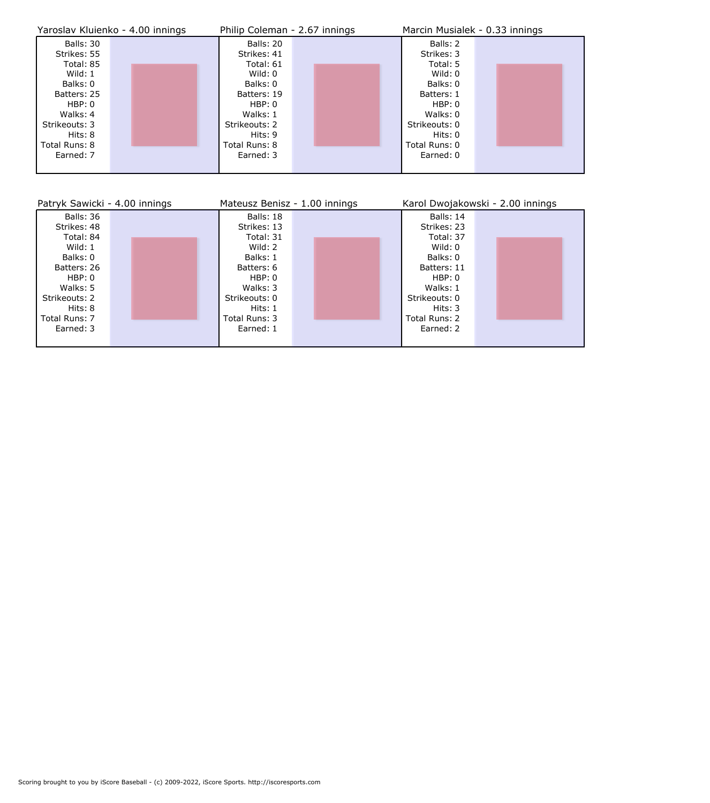|               | Yaroslav Kluienko - 4.00 innings | Philip Coleman - 2.67 innings | Marcin Musialek - 0.33 innings |  |  |  |
|---------------|----------------------------------|-------------------------------|--------------------------------|--|--|--|
| Balls: 30     |                                  | Balls: 20                     | Balls: 2                       |  |  |  |
| Strikes: 55   |                                  | Strikes: 41                   | Strikes: 3                     |  |  |  |
| Total: 85     |                                  | Total: 61                     | Total: 5                       |  |  |  |
| Wild: $1$     |                                  | Wild: 0                       | Wild: 0                        |  |  |  |
| Balks: 0      |                                  | Balks: 0                      | Balks: 0                       |  |  |  |
| Batters: 25   |                                  | Batters: 19                   | Batters: 1                     |  |  |  |
| HBP: 0        |                                  | HBP: 0                        | HBP: 0                         |  |  |  |
| Walks: 4      |                                  | Walks: 1                      | Walks: 0                       |  |  |  |
| Strikeouts: 3 |                                  | Strikeouts: 2                 | Strikeouts: 0                  |  |  |  |
| Hits: 8       |                                  | Hits: 9                       | Hits: 0                        |  |  |  |
| Total Runs: 8 |                                  | Total Runs: 8                 | Total Runs: 0                  |  |  |  |
| Earned: 7     |                                  | Earned: 3                     | Earned: 0                      |  |  |  |
|               |                                  |                               |                                |  |  |  |

| Patryk Sawicki - 4.00 innings | Mateusz Benisz - 1.00 innings | Karol Dwojakowski - 2.00 innings |  |  |  |
|-------------------------------|-------------------------------|----------------------------------|--|--|--|
| Balls: 36                     | Balls: 18                     | Balls: 14                        |  |  |  |
| Strikes: 48                   | Strikes: 13                   | Strikes: 23                      |  |  |  |
| Total: 84                     | Total: 31                     | Total: 37                        |  |  |  |
| Wild: $1$                     | Wild: 2                       | Wild: 0                          |  |  |  |
| Balks: 0                      | Balks: 1                      | Balks: 0                         |  |  |  |
| Batters: 26                   | Batters: 6                    | Batters: 11                      |  |  |  |
| HBP: 0                        | HBP: 0                        | HBP: 0                           |  |  |  |
| Walks: 5                      | Walks: 3                      | Walks: 1                         |  |  |  |
| Strikeouts: 2                 | Strikeouts: 0                 | Strikeouts: 0                    |  |  |  |
| Hits: 8                       | Hits: 1                       | Hits: $3$                        |  |  |  |
| Total Runs: 7                 | Total Runs: 3                 | Total Runs: 2                    |  |  |  |
| Earned: 3                     | Earned: 1                     | Earned: 2                        |  |  |  |
|                               |                               |                                  |  |  |  |